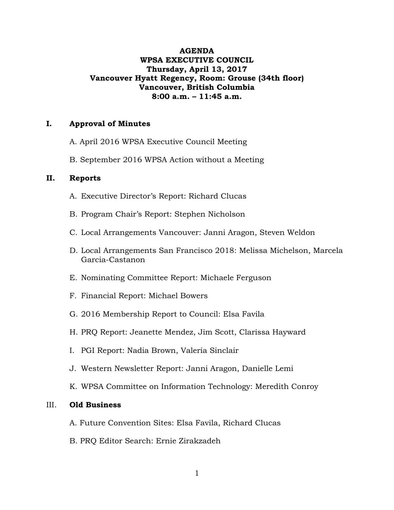# **AGENDA WPSA EXECUTIVE COUNCIL Thursday, April 13, 2017 Vancouver Hyatt Regency, Room: Grouse (34th floor) Vancouver, British Columbia 8:00 a.m. – 11:45 a.m.**

## **I. Approval of Minutes**

- A. April 2016 WPSA Executive Council Meeting
- B. September 2016 WPSA Action without a Meeting

## **II. Reports**

- A. Executive Director's Report: Richard Clucas
- B. Program Chair's Report: Stephen Nicholson
- C. Local Arrangements Vancouver: Janni Aragon, Steven Weldon
- D. Local Arrangements San Francisco 2018: Melissa Michelson, Marcela Garcia-Castanon
- E. Nominating Committee Report: Michaele Ferguson
- F. Financial Report: Michael Bowers
- G. 2016 Membership Report to Council: Elsa Favila
- H. PRQ Report: Jeanette Mendez, Jim Scott, Clarissa Hayward
- I. PGI Report: Nadia Brown, Valeria Sinclair
- J. Western Newsletter Report: Janni Aragon, Danielle Lemi
- K. WPSA Committee on Information Technology: Meredith Conroy

#### III. **Old Business**

- A. Future Convention Sites: Elsa Favila, Richard Clucas
- B. PRQ Editor Search: Ernie Zirakzadeh